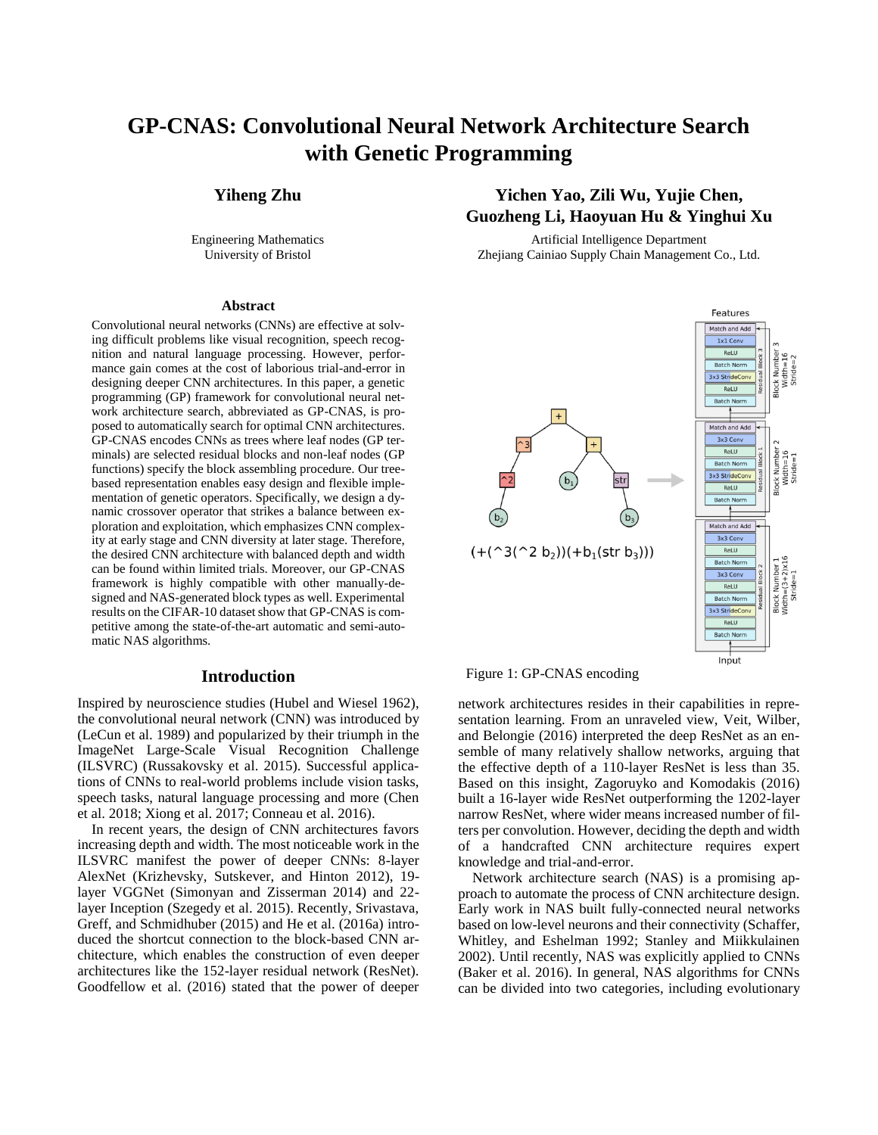# **GP-CNAS: Convolutional Neural Network Architecture Search with Genetic Programming**

Engineering Mathematics University of Bristol

#### **Abstract**

Convolutional neural networks (CNNs) are effective at solving difficult problems like visual recognition, speech recognition and natural language processing. However, performance gain comes at the cost of laborious trial-and-error in designing deeper CNN architectures. In this paper, a genetic programming (GP) framework for convolutional neural network architecture search, abbreviated as GP-CNAS, is proposed to automatically search for optimal CNN architectures. GP-CNAS encodes CNNs as trees where leaf nodes (GP terminals) are selected residual blocks and non-leaf nodes (GP functions) specify the block assembling procedure. Our treebased representation enables easy design and flexible implementation of genetic operators. Specifically, we design a dynamic crossover operator that strikes a balance between exploration and exploitation, which emphasizes CNN complexity at early stage and CNN diversity at later stage. Therefore, the desired CNN architecture with balanced depth and width can be found within limited trials. Moreover, our GP-CNAS framework is highly compatible with other manually-designed and NAS-generated block types as well. Experimental results on the CIFAR-10 dataset show that GP-CNAS is competitive among the state-of-the-art automatic and semi-automatic NAS algorithms.

### **Introduction**

Inspired by neuroscience studies (Hubel and Wiesel 1962), the convolutional neural network (CNN) was introduced by (LeCun et al. 1989) and popularized by their triumph in the ImageNet Large-Scale Visual Recognition Challenge (ILSVRC) (Russakovsky et al. 2015). Successful applications of CNNs to real-world problems include vision tasks, speech tasks, natural language processing and more (Chen et al. 2018; Xiong et al. 2017; Conneau et al. 2016).

In recent years, the design of CNN architectures favors increasing depth and width. The most noticeable work in the ILSVRC manifest the power of deeper CNNs: 8-layer AlexNet (Krizhevsky, Sutskever, and Hinton 2012), 19 layer VGGNet (Simonyan and Zisserman 2014) and 22 layer Inception (Szegedy et al. 2015). Recently, Srivastava, Greff, and Schmidhuber (2015) and He et al. (2016a) introduced the shortcut connection to the block-based CNN architecture, which enables the construction of even deeper architectures like the 152-layer residual network (ResNet). Goodfellow et al. (2016) stated that the power of deeper

# **Yiheng Zhu Yichen Yao, Zili Wu, Yujie Chen, Guozheng Li, Haoyuan Hu & Yinghui Xu**

Artificial Intelligence Department Zhejiang Cainiao Supply Chain Management Co., Ltd.



#### Figure 1: GP-CNAS encoding

network architectures resides in their capabilities in representation learning. From an unraveled view, Veit, Wilber, and Belongie (2016) interpreted the deep ResNet as an ensemble of many relatively shallow networks, arguing that the effective depth of a 110-layer ResNet is less than 35. Based on this insight, Zagoruyko and Komodakis (2016) built a 16-layer wide ResNet outperforming the 1202-layer narrow ResNet, where wider means increased number of filters per convolution. However, deciding the depth and width of a handcrafted CNN architecture requires expert knowledge and trial-and-error.

Network architecture search (NAS) is a promising approach to automate the process of CNN architecture design. Early work in NAS built fully-connected neural networks based on low-level neurons and their connectivity (Schaffer, Whitley, and Eshelman 1992; Stanley and Miikkulainen 2002). Until recently, NAS was explicitly applied to CNNs (Baker et al. 2016). In general, NAS algorithms for CNNs can be divided into two categories, including evolutionary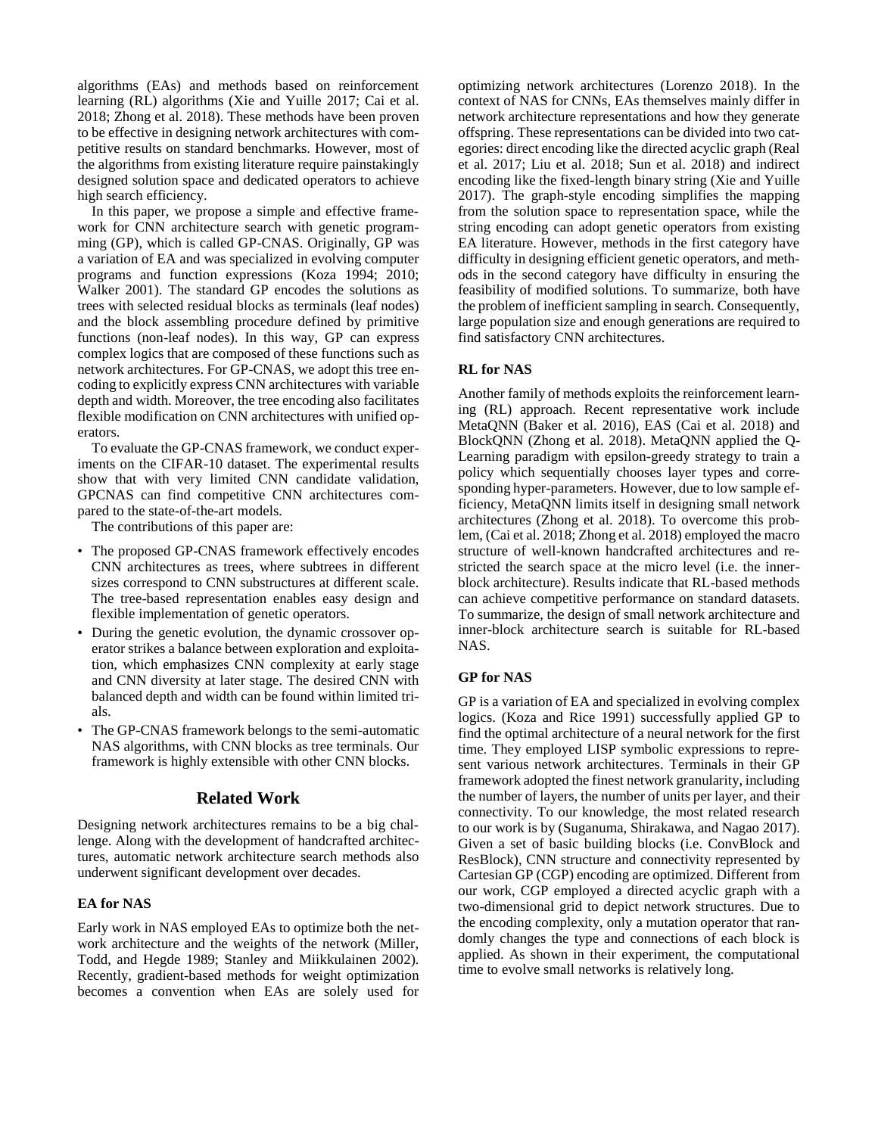algorithms (EAs) and methods based on reinforcement learning (RL) algorithms (Xie and Yuille 2017; Cai et al. 2018; Zhong et al. 2018). These methods have been proven to be effective in designing network architectures with competitive results on standard benchmarks. However, most of the algorithms from existing literature require painstakingly designed solution space and dedicated operators to achieve high search efficiency.

In this paper, we propose a simple and effective framework for CNN architecture search with genetic programming (GP), which is called GP-CNAS. Originally, GP was a variation of EA and was specialized in evolving computer programs and function expressions (Koza 1994; 2010; Walker 2001). The standard GP encodes the solutions as trees with selected residual blocks as terminals (leaf nodes) and the block assembling procedure defined by primitive functions (non-leaf nodes). In this way, GP can express complex logics that are composed of these functions such as network architectures. For GP-CNAS, we adopt this tree encoding to explicitly express CNN architectures with variable depth and width. Moreover, the tree encoding also facilitates flexible modification on CNN architectures with unified operators.

To evaluate the GP-CNAS framework, we conduct experiments on the CIFAR-10 dataset. The experimental results show that with very limited CNN candidate validation, GPCNAS can find competitive CNN architectures compared to the state-of-the-art models.

The contributions of this paper are:

- The proposed GP-CNAS framework effectively encodes CNN architectures as trees, where subtrees in different sizes correspond to CNN substructures at different scale. The tree-based representation enables easy design and flexible implementation of genetic operators.
- During the genetic evolution, the dynamic crossover operator strikes a balance between exploration and exploitation, which emphasizes CNN complexity at early stage and CNN diversity at later stage. The desired CNN with balanced depth and width can be found within limited trials.
- The GP-CNAS framework belongs to the semi-automatic NAS algorithms, with CNN blocks as tree terminals. Our framework is highly extensible with other CNN blocks.

#### **Related Work**

Designing network architectures remains to be a big challenge. Along with the development of handcrafted architectures, automatic network architecture search methods also underwent significant development over decades.

#### **EA for NAS**

Early work in NAS employed EAs to optimize both the network architecture and the weights of the network (Miller, Todd, and Hegde 1989; Stanley and Miikkulainen 2002). Recently, gradient-based methods for weight optimization becomes a convention when EAs are solely used for

optimizing network architectures (Lorenzo 2018). In the context of NAS for CNNs, EAs themselves mainly differ in network architecture representations and how they generate offspring. These representations can be divided into two categories: direct encoding like the directed acyclic graph (Real et al. 2017; Liu et al. 2018; Sun et al. 2018) and indirect encoding like the fixed-length binary string (Xie and Yuille 2017). The graph-style encoding simplifies the mapping from the solution space to representation space, while the string encoding can adopt genetic operators from existing EA literature. However, methods in the first category have difficulty in designing efficient genetic operators, and methods in the second category have difficulty in ensuring the feasibility of modified solutions. To summarize, both have the problem of inefficient sampling in search. Consequently, large population size and enough generations are required to find satisfactory CNN architectures.

#### **RL for NAS**

Another family of methods exploits the reinforcement learning (RL) approach. Recent representative work include MetaQNN (Baker et al. 2016), EAS (Cai et al. 2018) and BlockQNN (Zhong et al. 2018). MetaQNN applied the Q-Learning paradigm with epsilon-greedy strategy to train a policy which sequentially chooses layer types and corresponding hyper-parameters. However, due to low sample efficiency, MetaQNN limits itself in designing small network architectures (Zhong et al. 2018). To overcome this problem, (Cai et al. 2018; Zhong et al. 2018) employed the macro structure of well-known handcrafted architectures and restricted the search space at the micro level (i.e. the innerblock architecture). Results indicate that RL-based methods can achieve competitive performance on standard datasets. To summarize, the design of small network architecture and inner-block architecture search is suitable for RL-based NAS.

#### **GP for NAS**

GP is a variation of EA and specialized in evolving complex logics. (Koza and Rice 1991) successfully applied GP to find the optimal architecture of a neural network for the first time. They employed LISP symbolic expressions to represent various network architectures. Terminals in their GP framework adopted the finest network granularity, including the number of layers, the number of units per layer, and their connectivity. To our knowledge, the most related research to our work is by (Suganuma, Shirakawa, and Nagao 2017). Given a set of basic building blocks (i.e. ConvBlock and ResBlock), CNN structure and connectivity represented by Cartesian GP (CGP) encoding are optimized. Different from our work, CGP employed a directed acyclic graph with a two-dimensional grid to depict network structures. Due to the encoding complexity, only a mutation operator that randomly changes the type and connections of each block is applied. As shown in their experiment, the computational time to evolve small networks is relatively long.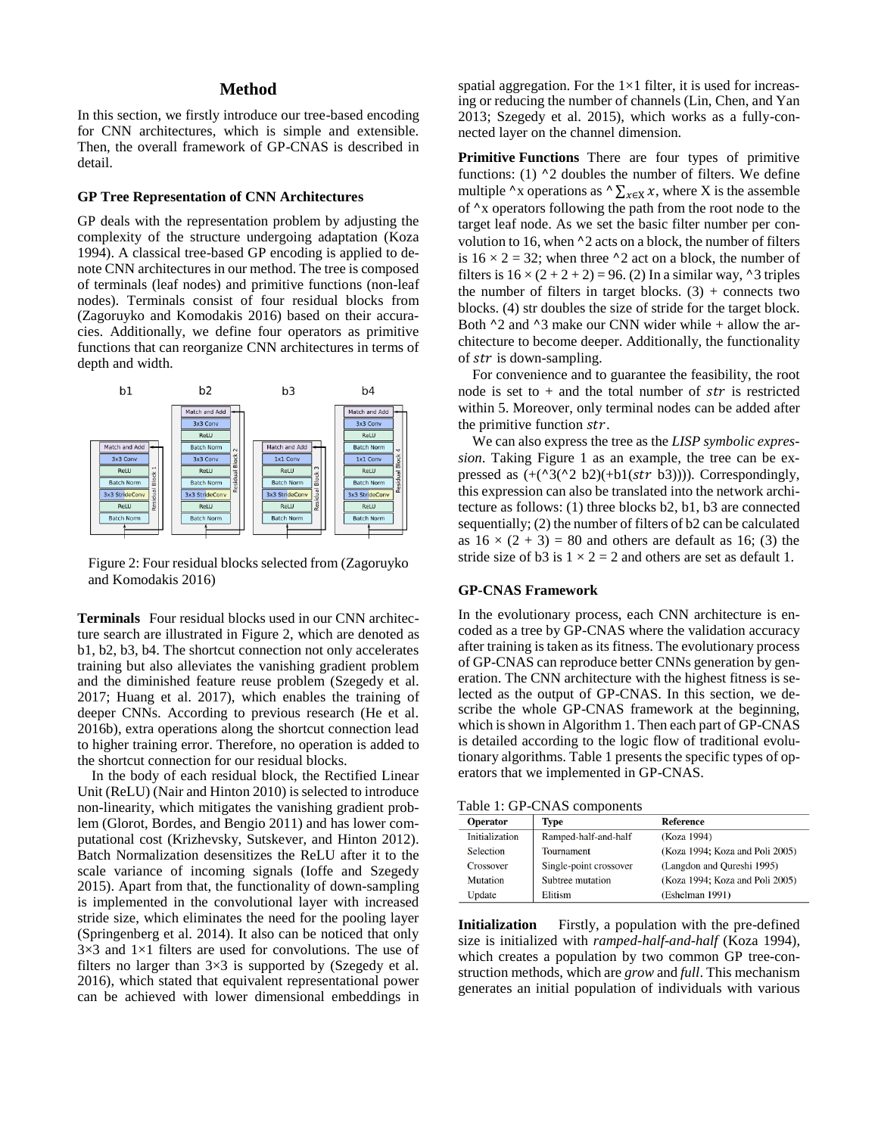#### **Method**

In this section, we firstly introduce our tree-based encoding for CNN architectures, which is simple and extensible. Then, the overall framework of GP-CNAS is described in detail.

#### **GP Tree Representation of CNN Architectures**

GP deals with the representation problem by adjusting the complexity of the structure undergoing adaptation (Koza 1994). A classical tree-based GP encoding is applied to denote CNN architectures in our method. The tree is composed of terminals (leaf nodes) and primitive functions (non-leaf nodes). Terminals consist of four residual blocks from (Zagoruyko and Komodakis 2016) based on their accuracies. Additionally, we define four operators as primitive functions that can reorganize CNN architectures in terms of depth and width.



Figure 2: Four residual blocks selected from (Zagoruyko and Komodakis 2016)

**Terminals** Four residual blocks used in our CNN architecture search are illustrated in Figure 2, which are denoted as b1, b2, b3, b4. The shortcut connection not only accelerates training but also alleviates the vanishing gradient problem and the diminished feature reuse problem (Szegedy et al. 2017; Huang et al. 2017), which enables the training of deeper CNNs. According to previous research (He et al. 2016b), extra operations along the shortcut connection lead to higher training error. Therefore, no operation is added to the shortcut connection for our residual blocks.

In the body of each residual block, the Rectified Linear Unit (ReLU) (Nair and Hinton 2010) is selected to introduce non-linearity, which mitigates the vanishing gradient problem (Glorot, Bordes, and Bengio 2011) and has lower computational cost (Krizhevsky, Sutskever, and Hinton 2012). Batch Normalization desensitizes the ReLU after it to the scale variance of incoming signals (Ioffe and Szegedy 2015). Apart from that, the functionality of down-sampling is implemented in the convolutional layer with increased stride size, which eliminates the need for the pooling layer (Springenberg et al. 2014). It also can be noticed that only  $3\times3$  and  $1\times1$  filters are used for convolutions. The use of filters no larger than  $3\times3$  is supported by (Szegedy et al. 2016), which stated that equivalent representational power can be achieved with lower dimensional embeddings in

spatial aggregation. For the  $1\times1$  filter, it is used for increasing or reducing the number of channels (Lin, Chen, and Yan 2013; Szegedy et al. 2015), which works as a fully-connected layer on the channel dimension.

**Primitive Functions** There are four types of primitive functions: (1)  $\Delta$  doubles the number of filters. We define multiple  $\alpha$ x operations as  $\alpha \sum_{x \in X} x$ , where X is the assemble of ^x operators following the path from the root node to the target leaf node. As we set the basic filter number per convolution to 16, when  $\lambda$  acts on a block, the number of filters is  $16 \times 2 = 32$ ; when three ^2 act on a block, the number of filters is  $16 \times (2 + 2 + 2) = 96$ . (2) In a similar way, ^3 triples the number of filters in target blocks.  $(3)$  + connects two blocks. (4) str doubles the size of stride for the target block. Both  $\Delta$ 2 and  $\Delta$ 3 make our CNN wider while + allow the architecture to become deeper. Additionally, the functionality of  $str$  is down-sampling.

For convenience and to guarantee the feasibility, the root node is set to  $+$  and the total number of str is restricted within 5. Moreover, only terminal nodes can be added after the primitive function  $str.$ 

We can also express the tree as the *LISP symbolic expression*. Taking Figure 1 as an example, the tree can be expressed as  $(+({}^{\wedge}3({}^{\wedge}2 b2)(+b1(str b3)))$ . Correspondingly, this expression can also be translated into the network architecture as follows: (1) three blocks b2, b1, b3 are connected sequentially; (2) the number of filters of b2 can be calculated as  $16 \times (2 + 3) = 80$  and others are default as 16; (3) the stride size of b3 is  $1 \times 2 = 2$  and others are set as default 1.

#### **GP-CNAS Framework**

In the evolutionary process, each CNN architecture is encoded as a tree by GP-CNAS where the validation accuracy after training is taken as its fitness. The evolutionary process of GP-CNAS can reproduce better CNNs generation by generation. The CNN architecture with the highest fitness is selected as the output of GP-CNAS. In this section, we describe the whole GP-CNAS framework at the beginning, which is shown in Algorithm 1. Then each part of GP-CNAS is detailed according to the logic flow of traditional evolutionary algorithms. Table 1 presents the specific types of operators that we implemented in GP-CNAS.

Table 1: GP-CNAS components

| <b>Operator</b> | Type                   | <b>Reference</b>                |
|-----------------|------------------------|---------------------------------|
| Initialization  | Ramped-half-and-half   | (Koza 1994)                     |
| Selection       | Tournament             | (Koza 1994; Koza and Poli 2005) |
| Crossover       | Single-point crossover | (Langdon and Qureshi 1995)      |
| Mutation        | Subtree mutation       | (Koza 1994; Koza and Poli 2005) |
| Update          | Elitism                | (Eshelman 1991)                 |

**Initialization** Firstly, a population with the pre-defined size is initialized with *ramped-half-and-half* (Koza 1994), which creates a population by two common GP tree-construction methods, which are *grow* and *full*. This mechanism generates an initial population of individuals with various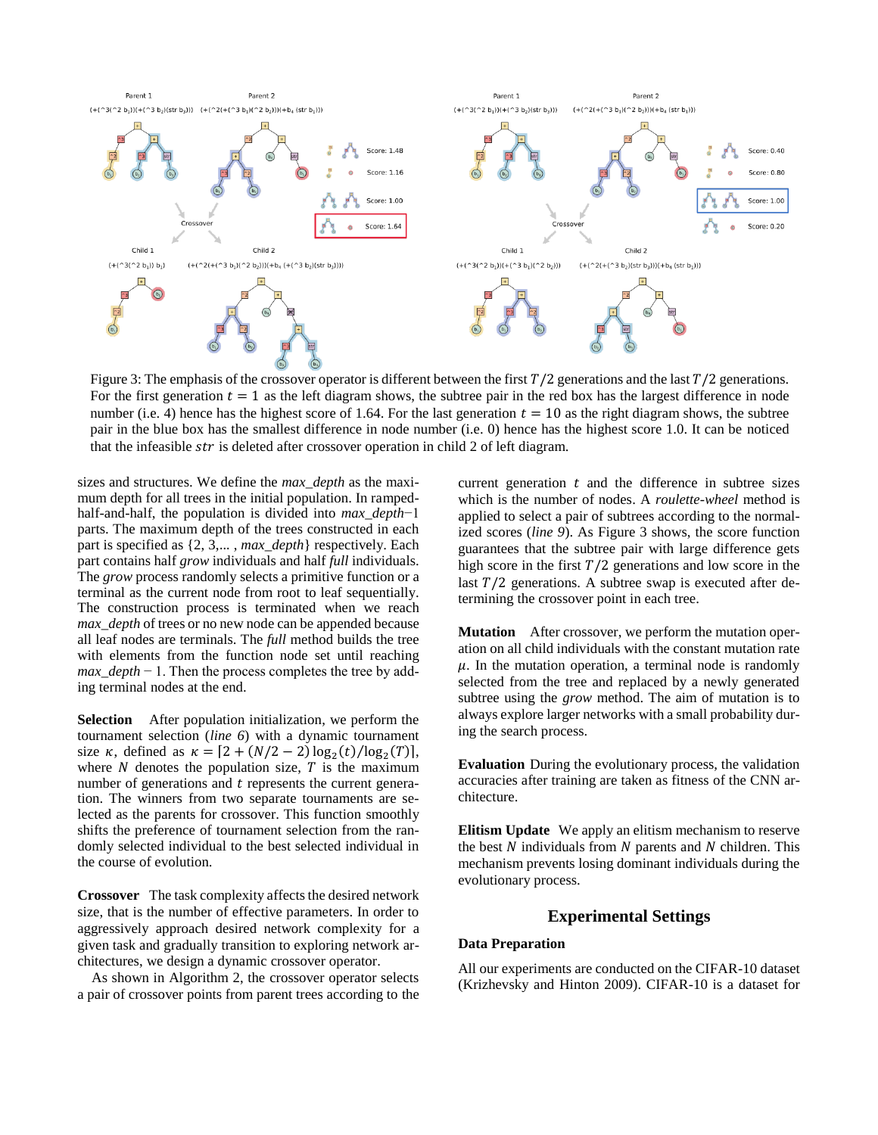

Figure 3: The emphasis of the crossover operator is different between the first  $T/2$  generations and the last  $T/2$  generations. For the first generation  $t = 1$  as the left diagram shows, the subtree pair in the red box has the largest difference in node number (i.e. 4) hence has the highest score of 1.64. For the last generation  $t = 10$  as the right diagram shows, the subtree pair in the blue box has the smallest difference in node number (i.e. 0) hence has the highest score 1.0. It can be noticed that the infeasible  $str$  is deleted after crossover operation in child 2 of left diagram.

sizes and structures. We define the *max\_depth* as the maximum depth for all trees in the initial population. In rampedhalf-and-half, the population is divided into *max\_depth*−1 parts. The maximum depth of the trees constructed in each part is specified as {2, 3,… , *max\_depth*} respectively. Each part contains half *grow* individuals and half *full* individuals. The *grow* process randomly selects a primitive function or a terminal as the current node from root to leaf sequentially. The construction process is terminated when we reach *max\_depth* of trees or no new node can be appended because all leaf nodes are terminals. The *full* method builds the tree with elements from the function node set until reaching *max\_depth* − 1. Then the process completes the tree by adding terminal nodes at the end.

**Selection** After population initialization, we perform the tournament selection (*line 6*) with a dynamic tournament size  $\kappa$ , defined as  $\kappa = [2 + (N/2 - 2) \log_2(t) / \log_2(T)]$ , where  $N$  denotes the population size,  $T$  is the maximum number of generations and  $t$  represents the current generation. The winners from two separate tournaments are selected as the parents for crossover. This function smoothly shifts the preference of tournament selection from the randomly selected individual to the best selected individual in the course of evolution.

**Crossover** The task complexity affects the desired network size, that is the number of effective parameters. In order to aggressively approach desired network complexity for a given task and gradually transition to exploring network architectures, we design a dynamic crossover operator.

As shown in Algorithm 2, the crossover operator selects a pair of crossover points from parent trees according to the

current generation  $t$  and the difference in subtree sizes which is the number of nodes. A *roulette-wheel* method is applied to select a pair of subtrees according to the normalized scores (*line 9*). As Figure 3 shows, the score function guarantees that the subtree pair with large difference gets high score in the first  $T/2$  generations and low score in the last  $T/2$  generations. A subtree swap is executed after determining the crossover point in each tree.

**Mutation** After crossover, we perform the mutation operation on all child individuals with the constant mutation rate  $\mu$ . In the mutation operation, a terminal node is randomly selected from the tree and replaced by a newly generated subtree using the *grow* method. The aim of mutation is to always explore larger networks with a small probability during the search process.

**Evaluation** During the evolutionary process, the validation accuracies after training are taken as fitness of the CNN architecture.

**Elitism Update** We apply an elitism mechanism to reserve the best  $N$  individuals from  $N$  parents and  $N$  children. This mechanism prevents losing dominant individuals during the evolutionary process.

# **Experimental Settings**

#### **Data Preparation**

All our experiments are conducted on the CIFAR-10 dataset (Krizhevsky and Hinton 2009). CIFAR-10 is a dataset for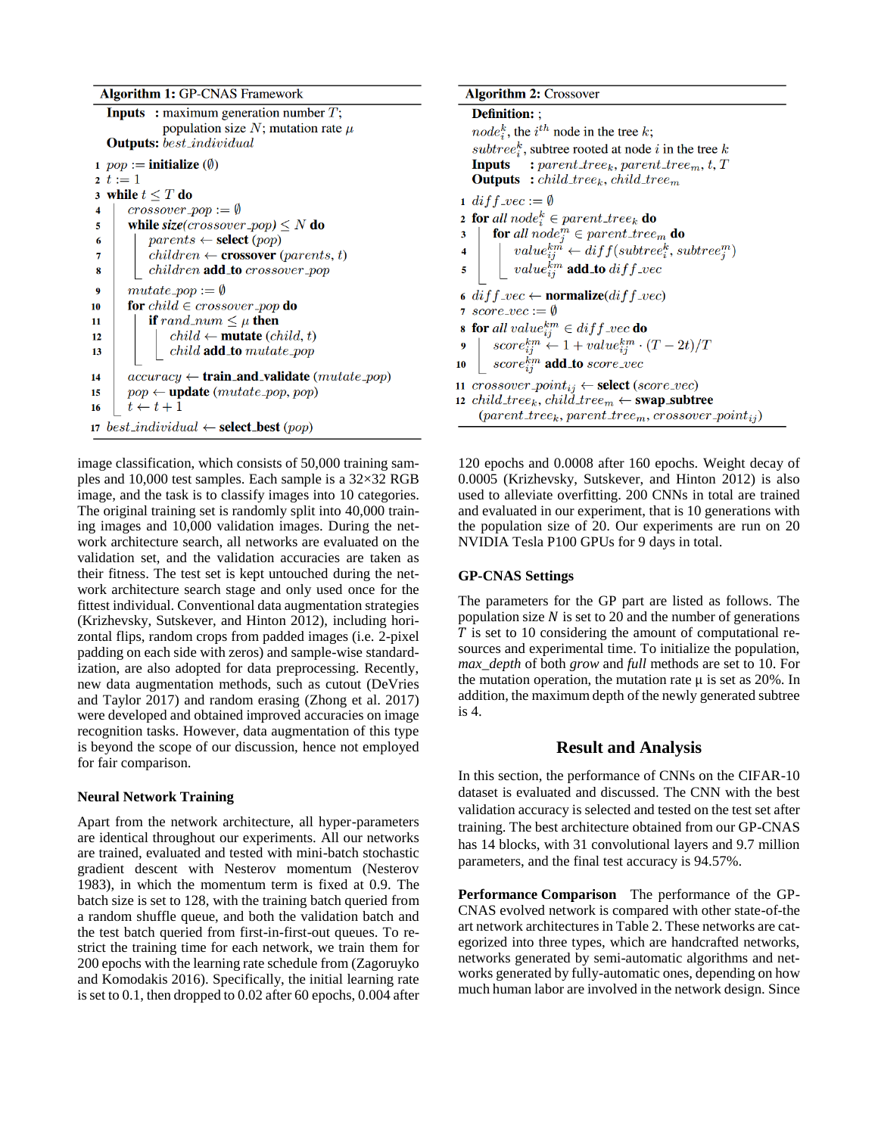**Algorithm 1: GP-CNAS Framework** 

```
Inputs : maximum generation number T;
               population size N; mutation rate \muOutputs: best_individual
1 pop :=initialize (\emptyset)
2\, t := 13 while t \leq T do
       crossover\_pop := \emptyset\overline{\mathbf{4}}while size(crossover_pop) \leq N do
5
            parents \leftarrow \textbf{select}(pop)6
             children \leftarrow \text{crossover} (parents, t)\overline{7}children add_to crossover_pop
8
        mutate\_pop := \emptyset\boldsymbol{9}for child \in crossover-pop do
10
11if rand_num \leq \mu then
12child \leftarrow \textbf{mutate} (child, t)13
                 child add_to mutate_pop
        accuracy \leftarrow train_and_value(mutate\_pop)14
        pop \leftarrow \textbf{update}(mutate\_pop, pop)15
       t \leftarrow t + 116
17 best_individual \leftarrow select_best (pop)
```
image classification, which consists of 50,000 training samples and 10,000 test samples. Each sample is a 32×32 RGB image, and the task is to classify images into 10 categories. The original training set is randomly split into 40,000 training images and 10,000 validation images. During the network architecture search, all networks are evaluated on the validation set, and the validation accuracies are taken as their fitness. The test set is kept untouched during the network architecture search stage and only used once for the fittest individual. Conventional data augmentation strategies (Krizhevsky, Sutskever, and Hinton 2012), including horizontal flips, random crops from padded images (i.e. 2-pixel padding on each side with zeros) and sample-wise standardization, are also adopted for data preprocessing. Recently, new data augmentation methods, such as cutout (DeVries and Taylor 2017) and random erasing (Zhong et al. 2017) were developed and obtained improved accuracies on image recognition tasks. However, data augmentation of this type is beyond the scope of our discussion, hence not employed for fair comparison.

#### **Neural Network Training**

Apart from the network architecture, all hyper-parameters are identical throughout our experiments. All our networks are trained, evaluated and tested with mini-batch stochastic gradient descent with Nesterov momentum (Nesterov 1983), in which the momentum term is fixed at 0.9. The batch size is set to 128, with the training batch queried from a random shuffle queue, and both the validation batch and the test batch queried from first-in-first-out queues. To restrict the training time for each network, we train them for 200 epochs with the learning rate schedule from (Zagoruyko and Komodakis 2016). Specifically, the initial learning rate is set to 0.1, then dropped to 0.02 after 60 epochs, 0.004 after

**Algorithm 2: Crossover Definition::** *node*<sup>*k*</sup>, the *i*<sup>th</sup> node in the tree *k*; subtree<sub>i</sub><sup>k</sup>, subtree rooted at node *i* in the tree *k* **Inputs** : parent\_tree<sub>k</sub>, parent\_tree<sub>m</sub>, t, T **Outputs** : *child\_tree<sub>k</sub>*, *child\_tree<sub>m</sub>* 1 diff  $vec := \emptyset$ **2 for** all node<sup> $k$ </sup>  $\in$  parent\_tree<sub>k</sub> do for all node<sub>*i*</sub>  $\in$  parent tree<sub>m</sub> do<br>  $value_{ij}^{km} \leftarrow diff(subtree_i^k,subtree_j^m)$ <br>  $value_{ij}^{km}$  add to diff vec  $\overline{\mathbf{3}}$  $\overline{4}$ 5 6 diff\_vec  $\leftarrow$  normalize(diff\_vec) 7 score\_vec :=  $\emptyset$ 8 for all value  $\begin{array}{l} \theta_{ij}^{km} \in \text{diff\_vec} \ \mathbf{do} \ \mathbf{9} \hspace{1em} \begin{array}{l} \text{score}_{ij}^{km} \in \text{diff\_vec} \ \mathbf{do} \ \mathbf{so}re_{ij}^{km} \leftarrow 1 + \text{value}_{ij}^{km} \cdot (T - 2t) / T \ \text{score}_{ij}^{km} \ \mathbf{add\_to} \ \text{score\_vec} \end{array} \end{array}$ 10 11 *crossover\_point<sub>ij</sub>*  $\leftarrow$  **select** (*score\_vec*) 12 child\_tree<sub>k</sub>, child\_tree<sub>m</sub>  $\leftarrow$  swap\_subtree  $(parent\_tree_k, parent\_tree_m, crossover\_point_{ij})$ 

120 epochs and 0.0008 after 160 epochs. Weight decay of 0.0005 (Krizhevsky, Sutskever, and Hinton 2012) is also used to alleviate overfitting. 200 CNNs in total are trained and evaluated in our experiment, that is 10 generations with the population size of 20. Our experiments are run on 20 NVIDIA Tesla P100 GPUs for 9 days in total.

#### **GP-CNAS Settings**

The parameters for the GP part are listed as follows. The population size  $N$  is set to 20 and the number of generations  $T$  is set to 10 considering the amount of computational resources and experimental time. To initialize the population, *max\_depth* of both *grow* and *full* methods are set to 10. For the mutation operation, the mutation rate  $\mu$  is set as 20%. In addition, the maximum depth of the newly generated subtree is 4.

# **Result and Analysis**

In this section, the performance of CNNs on the CIFAR-10 dataset is evaluated and discussed. The CNN with the best validation accuracy is selected and tested on the test set after training. The best architecture obtained from our GP-CNAS has 14 blocks, with 31 convolutional layers and 9.7 million parameters, and the final test accuracy is 94.57%.

**Performance Comparison** The performance of the GP-CNAS evolved network is compared with other state-of-the art network architectures in Table 2. These networks are categorized into three types, which are handcrafted networks, networks generated by semi-automatic algorithms and networks generated by fully-automatic ones, depending on how much human labor are involved in the network design. Since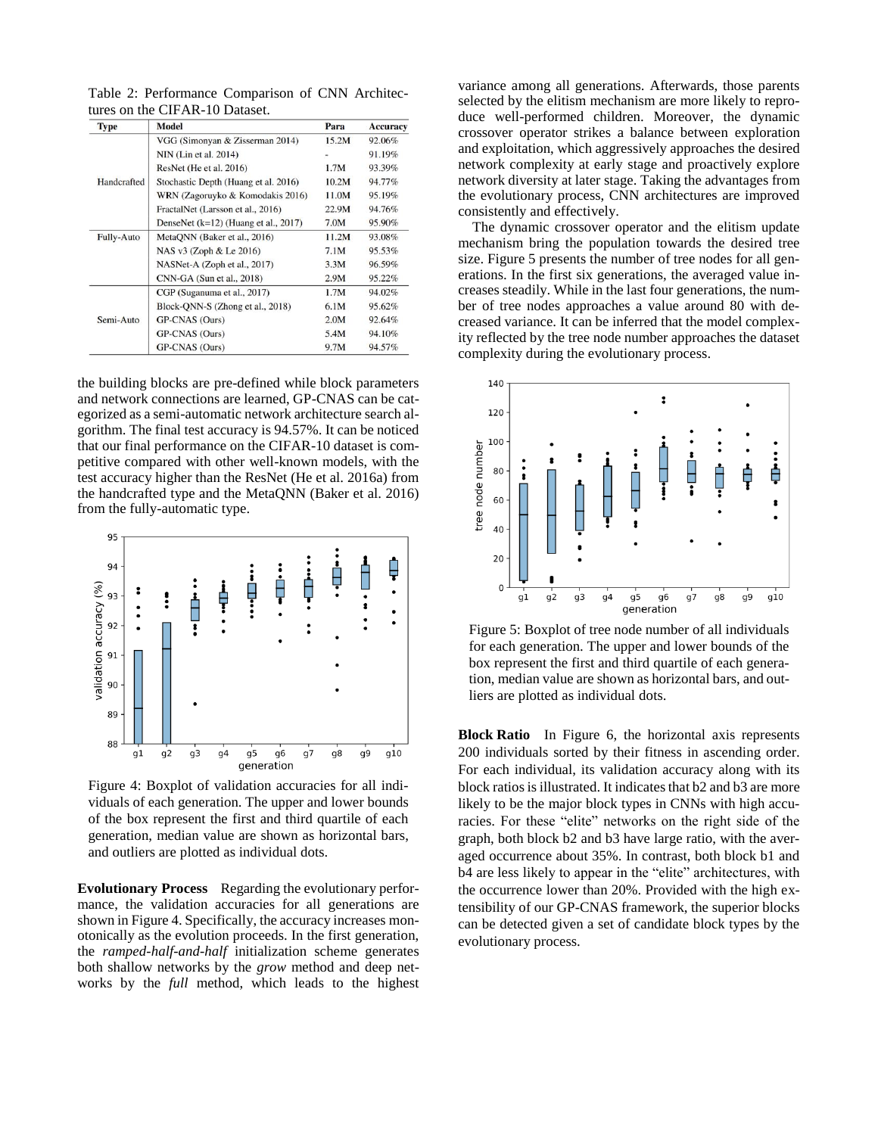Table 2: Performance Comparison of CNN Architectures on the CIFAR-10 Dataset.

| <b>Type</b> | <b>Model</b>                           | Para  | <b>Accuracy</b> |
|-------------|----------------------------------------|-------|-----------------|
|             | VGG (Simonyan & Zisserman 2014)        | 15.2M | 92.06%          |
|             | NIN (Lin et al. 2014)                  |       | 91.19%          |
|             | ResNet (He et al. 2016)                | 1.7M  | 93.39%          |
| Handcrafted | Stochastic Depth (Huang et al. 2016)   | 10.2M | 94.77%          |
|             | WRN (Zagoruyko & Komodakis 2016)       | 11.0M | 95.19%          |
|             | FractalNet (Larsson et al., 2016)      | 22.9M | 94.76%          |
|             | DenseNet $(k=12)$ (Huang et al., 2017) | 7.0M  | 95.90%          |
| Fully-Auto  | MetaQNN (Baker et al., 2016)           | 11.2M | 93.08%          |
|             | NAS v3 (Zoph & Le 2016)                | 7.1M  | 95.53%          |
|             | NASNet-A (Zoph et al., 2017)           | 3.3M  | 96.59%          |
|             | $CNN-GA$ (Sun et al., 2018)            | 2.9M  | 95.22%          |
|             | CGP (Suganuma et al., 2017)            | 1.7M  | 94.02%          |
|             | Block-QNN-S (Zhong et al., 2018)       | 6.1M  | 95.62%          |
| Semi-Auto   | GP-CNAS (Ours)                         | 2.0M  | 92.64%          |
|             | GP-CNAS (Ours)                         | 5.4M  | 94.10%          |
|             | GP-CNAS (Ours)                         | 9.7M  | 94.57%          |

the building blocks are pre-defined while block parameters and network connections are learned, GP-CNAS can be categorized as a semi-automatic network architecture search algorithm. The final test accuracy is 94.57%. It can be noticed that our final performance on the CIFAR-10 dataset is competitive compared with other well-known models, with the test accuracy higher than the ResNet (He et al. 2016a) from the handcrafted type and the MetaQNN (Baker et al. 2016) from the fully-automatic type.



Figure 4: Boxplot of validation accuracies for all individuals of each generation. The upper and lower bounds of the box represent the first and third quartile of each generation, median value are shown as horizontal bars, and outliers are plotted as individual dots.

**Evolutionary Process** Regarding the evolutionary performance, the validation accuracies for all generations are shown in Figure 4. Specifically, the accuracy increases monotonically as the evolution proceeds. In the first generation, the *ramped-half-and-half* initialization scheme generates both shallow networks by the *grow* method and deep networks by the *full* method, which leads to the highest

variance among all generations. Afterwards, those parents selected by the elitism mechanism are more likely to reproduce well-performed children. Moreover, the dynamic crossover operator strikes a balance between exploration and exploitation, which aggressively approaches the desired network complexity at early stage and proactively explore network diversity at later stage. Taking the advantages from the evolutionary process, CNN architectures are improved consistently and effectively.

The dynamic crossover operator and the elitism update mechanism bring the population towards the desired tree size. Figure 5 presents the number of tree nodes for all generations. In the first six generations, the averaged value increases steadily. While in the last four generations, the number of tree nodes approaches a value around 80 with decreased variance. It can be inferred that the model complexity reflected by the tree node number approaches the dataset complexity during the evolutionary process.



Figure 5: Boxplot of tree node number of all individuals for each generation. The upper and lower bounds of the box represent the first and third quartile of each generation, median value are shown as horizontal bars, and outliers are plotted as individual dots.

**Block Ratio** In Figure 6, the horizontal axis represents 200 individuals sorted by their fitness in ascending order. For each individual, its validation accuracy along with its block ratios is illustrated. It indicates that b2 and b3 are more likely to be the major block types in CNNs with high accuracies. For these "elite" networks on the right side of the graph, both block b2 and b3 have large ratio, with the averaged occurrence about 35%. In contrast, both block b1 and b4 are less likely to appear in the "elite" architectures, with the occurrence lower than 20%. Provided with the high extensibility of our GP-CNAS framework, the superior blocks can be detected given a set of candidate block types by the evolutionary process.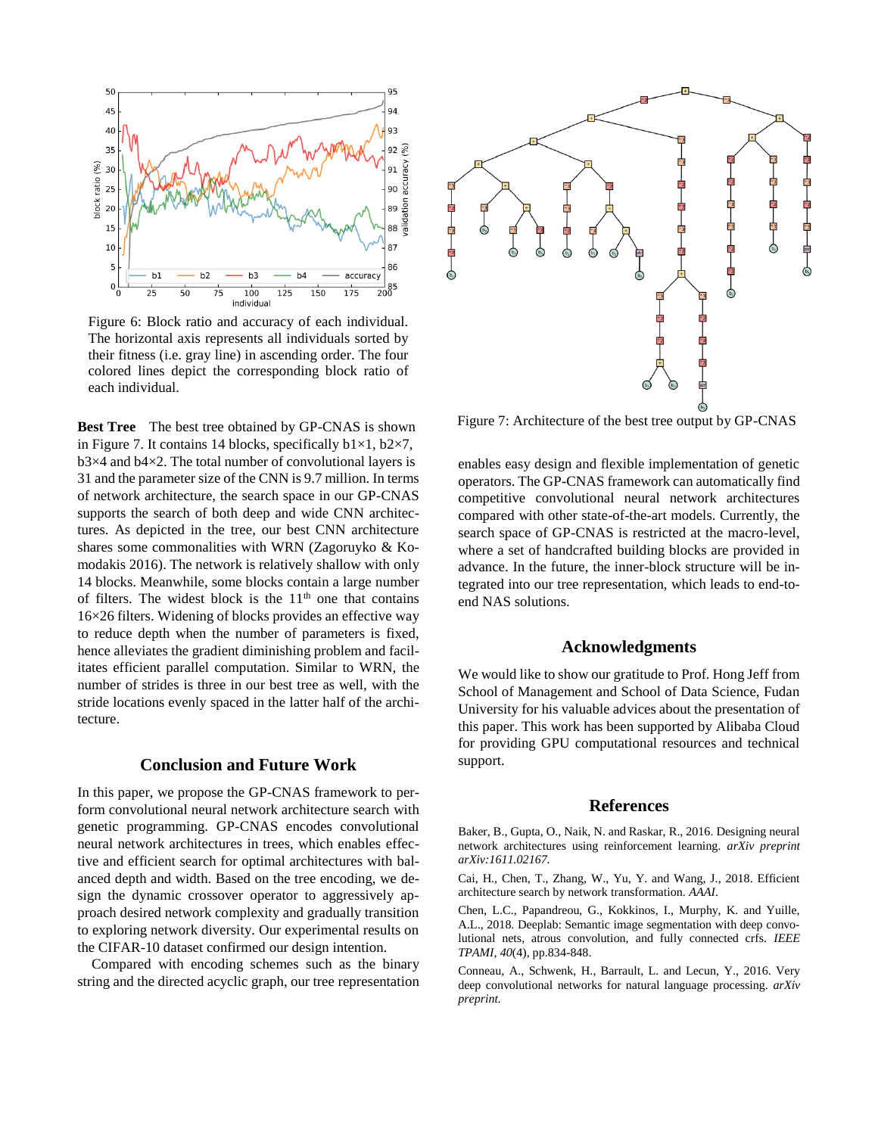

Figure 6: Block ratio and accuracy of each individual. The horizontal axis represents all individuals sorted by their fitness (i.e. gray line) in ascending order. The four colored lines depict the corresponding block ratio of each individual.

**Best Tree** The best tree obtained by GP-CNAS is shown in Figure 7. It contains 14 blocks, specifically  $b1\times1$ ,  $b2\times7$ ,  $b3\times4$  and  $b4\times2$ . The total number of convolutional layers is 31 and the parameter size of the CNN is 9.7 million. In terms of network architecture, the search space in our GP-CNAS supports the search of both deep and wide CNN architectures. As depicted in the tree, our best CNN architecture shares some commonalities with WRN (Zagoruyko & Komodakis 2016). The network is relatively shallow with only 14 blocks. Meanwhile, some blocks contain a large number of filters. The widest block is the  $11<sup>th</sup>$  one that contains 16×26 filters. Widening of blocks provides an effective way to reduce depth when the number of parameters is fixed, hence alleviates the gradient diminishing problem and facilitates efficient parallel computation. Similar to WRN, the number of strides is three in our best tree as well, with the stride locations evenly spaced in the latter half of the architecture.

## **Conclusion and Future Work**

In this paper, we propose the GP-CNAS framework to perform convolutional neural network architecture search with genetic programming. GP-CNAS encodes convolutional neural network architectures in trees, which enables effective and efficient search for optimal architectures with balanced depth and width. Based on the tree encoding, we design the dynamic crossover operator to aggressively approach desired network complexity and gradually transition to exploring network diversity. Our experimental results on the CIFAR-10 dataset confirmed our design intention.

Compared with encoding schemes such as the binary string and the directed acyclic graph, our tree representation



Figure 7: Architecture of the best tree output by GP-CNAS

enables easy design and flexible implementation of genetic operators. The GP-CNAS framework can automatically find competitive convolutional neural network architectures compared with other state-of-the-art models. Currently, the search space of GP-CNAS is restricted at the macro-level, where a set of handcrafted building blocks are provided in advance. In the future, the inner-block structure will be integrated into our tree representation, which leads to end-toend NAS solutions.

#### **Acknowledgments**

We would like to show our gratitude to Prof. Hong Jeff from School of Management and School of Data Science, Fudan University for his valuable advices about the presentation of this paper. This work has been supported by Alibaba Cloud for providing GPU computational resources and technical support.

#### **References**

Baker, B., Gupta, O., Naik, N. and Raskar, R., 2016. Designing neural network architectures using reinforcement learning. *arXiv preprint arXiv:1611.02167.*

Cai, H., Chen, T., Zhang, W., Yu, Y. and Wang, J., 2018. Efficient architecture search by network transformation. *AAAI*.

Chen, L.C., Papandreou, G., Kokkinos, I., Murphy, K. and Yuille, A.L., 2018. Deeplab: Semantic image segmentation with deep convolutional nets, atrous convolution, and fully connected crfs. *IEEE TPAMI, 40*(4), pp.834-848.

Conneau, A., Schwenk, H., Barrault, L. and Lecun, Y., 2016. Very deep convolutional networks for natural language processing. *arXiv preprint.*